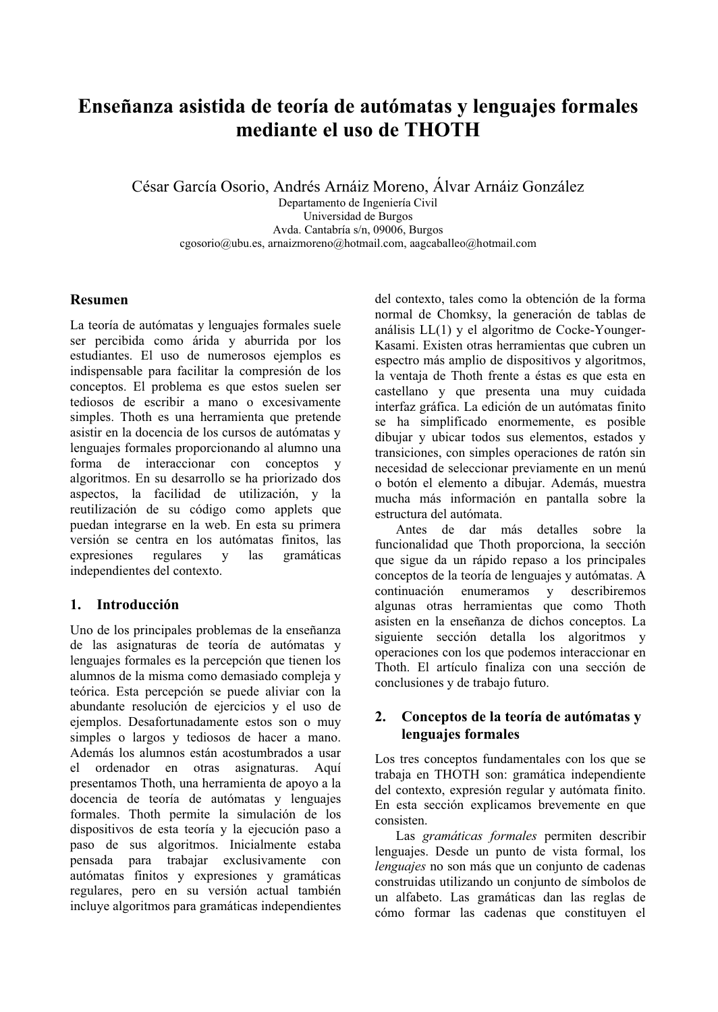# Enseñanza asistida de teoría de autómatas y lenguajes formales mediante el uso de THOTH

César García Osorio, Andrés Arnáiz Moreno, Álvar Arnáiz González

Departamento de Ingeniería Civil Universidad de Burgos Avda. Cantabría s/n, 09006, Burgos cgosorio@ubu.es, arnaizmoreno@hotmail.com, aagcaballeo@hotmail.com

# **Resumen**

La teoría de autómatas y lenguajes formales suele ser percibida como árida y aburrida por los estudiantes. El uso de numerosos ejemplos es indispensable para facilitar la compresión de los conceptos. El problema es que estos suelen ser tediosos de escribir a mano o excesivamente simples. Thoth es una herramienta que pretende asistir en la docencia de los cursos de autómatas y lenguaies formales proporcionando al alumno una forma de interaccionar con conceptos y algoritmos. En su desarrollo se ha priorizado dos aspectos, la facilidad de utilización, y la reutilización de su código como applets que puedan integrarse en la web. En esta su primera versión se centra en los autómatas finitos, las expresiones regulares y las gramáticas independientes del contexto.

# 1. Introducción

Uno de los principales problemas de la enseñanza de las asignaturas de teoría de autómatas y lenguajes formales es la percepción que tienen los alumnos de la misma como demasiado compleja y teórica. Esta percepción se puede aliviar con la abundante resolución de ejercicios y el uso de ejemplos. Desafortunadamente estos son o muy simples o largos y tediosos de hacer a mano. Además los alumnos están acostumbrados a usar el ordenador en otras asignaturas. Aquí presentamos Thoth, una herramienta de apoyo a la docencia de teoría de autómatas y lenguajes formales. Thoth permite la simulación de los dispositivos de esta teoría y la ejecución paso a paso de sus algoritmos. Inicialmente estaba pensada para trabajar exclusivamente con autómatas finitos y expresiones y gramáticas regulares, pero en su versión actual también incluye algoritmos para gramáticas independientes del contexto, tales como la obtención de la forma normal de Chomksy, la generación de tablas de análisis LL(1) y el algoritmo de Cocke-Younger-Kasami. Existen otras herramientas que cubren un espectro más amplio de dispositivos y algoritmos, la ventaja de Thoth frente a éstas es que esta en castellano v que presenta una muy cuidada interfaz gráfica. La edición de un autómatas finito se ha simplificado enormemente, es posible dibujar y ubicar todos sus elementos, estados y transiciones, con simples operaciones de ratón sin necesidad de seleccionar previamente en un menú o botón el elemento a dibujar. Además, muestra mucha más información en pantalla sobre la estructura del autómata.

Antes de dar más detalles sobre la funcionalidad que Thoth proporciona, la sección que sigue da un rápido repaso a los principales conceptos de la teoría de lenguajes y autómatas. A continuación enumeramos y describiremos algunas otras herramientas que como Thoth asisten en la enseñanza de dichos conceptos. La siguiente sección detalla los algoritmos y operaciones con los que podemos interaccionar en Thoth. El artículo finaliza con una sección de conclusiones y de trabajo futuro.

# 2. Conceptos de la teoría de autómatas y lenguajes formales

Los tres conceptos fundamentales con los que se trabaja en THOTH son: gramática independiente del contexto, expresión regular y autómata finito. En esta sección explicamos brevemente en que consisten.

Las gramáticas formales permiten describir lenguajes. Desde un punto de vista formal, los lenguajes no son más que un conjunto de cadenas construidas utilizando un conjunto de símbolos de un alfabeto. Las gramáticas dan las reglas de cómo formar las cadenas que constituyen el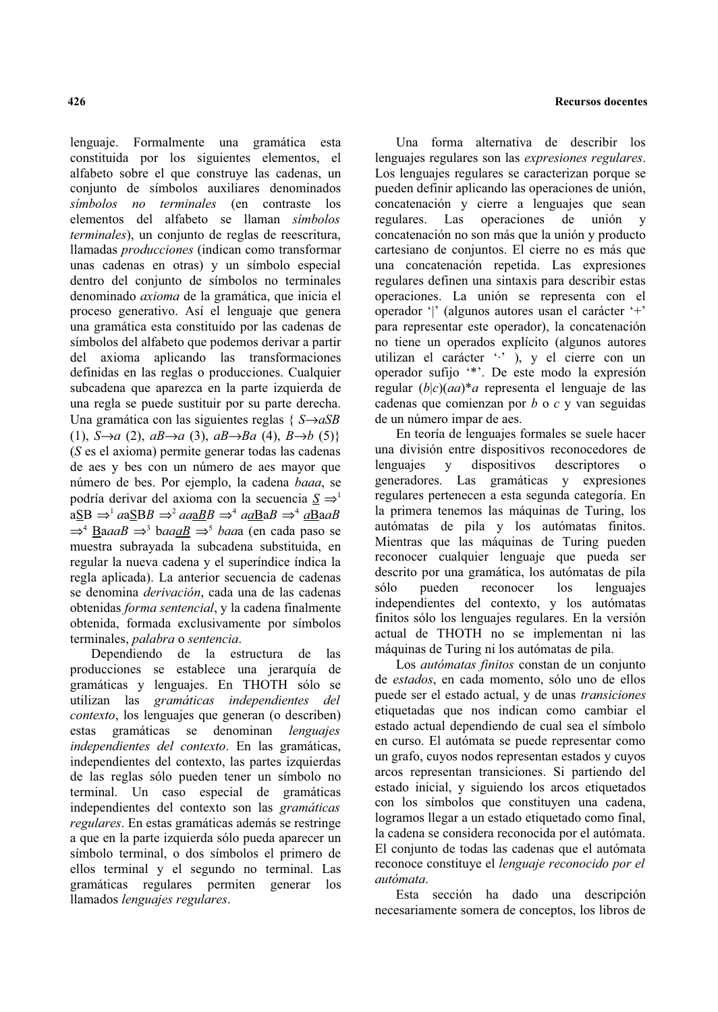lenguaje. Formalmente una gramática esta constituida por los siguientes elementos, el alfabeto sobre el que construye las cadenas, un conjunto de símbolos auxiliares denominados simbolos no terminales (en contraste los elementos del alfabeto se llaman símbolos terminales), un conjunto de reglas de reescritura, llamadas producciones (indican como transformar unas cadenas en otras) y un símbolo especial dentro del conjunto de símbolos no terminales denominado *axioma* de la gramática, que inicia el proceso generativo. Así el lenguaje que genera una gramática esta constituido por las cadenas de símbolos del alfabeto que podemos derivar a partir del axioma aplicando las transformaciones definidas en las reglas o producciones. Cualquier subcadena que aparezca en la parte izquierda de una regla se puede sustituir por su parte derecha. Una gramática con las siguientes reglas { $S \rightarrow aSB$ (1),  $S\rightarrow a$  (2),  $aB\rightarrow a$  (3),  $aB\rightarrow Ba$  (4),  $B\rightarrow b$  (5)}  $(S \text{ es } el \text{ axioma})$  permite generar todas las cadenas de aes y bes con un número de aes mayor que número de bes. Por ejemplo, la cadena baaa, se podría derivar del axioma con la secuencia  $S \Rightarrow$ <sup>1</sup>  $aSB \Rightarrow a\&BB \Rightarrow aaaBB \Rightarrow a\&BB \Rightarrow a\&BB \Rightarrow a\&BB$  $\Rightarrow^4$  BaaaB  $\Rightarrow^3$  baaaB  $\Rightarrow^5$  baaa (en cada paso se muestra subravada la subcadena substituida, en regular la nueva cadena y el superíndice índica la regla aplicada). La anterior secuencia de cadenas se denomina *derivación*, cada una de las cadenas obtenidas forma sentencial, y la cadena finalmente obtenida, formada exclusivamente por símbolos terminales, palabra o sentencia.

Dependiendo de la estructura de las producciones se establece una jerarquía de gramáticas y lenguajes. En THOTH sólo se utilizan las gramáticas independientes del *contexto*, los lenguajes que generan (o describen) estas gramáticas se denominan lenguaies independientes del contexto. En las gramáticas, independientes del contexto, las partes izquierdas de las reglas sólo pueden tener un símbolo no terminal. Un caso especial de gramáticas independientes del contexto son las gramáticas regulares. En estas gramáticas además se restringe a que en la parte izquierda sólo pueda aparecer un símbolo terminal, o dos símbolos el primero de ellos terminal y el segundo no terminal. Las gramáticas regulares permiten generar los llamados lenguajes regulares.

Una forma alternativa de describir los lenguajes regulares son las *expresiones regulares*. Los lenguajes regulares se caracterizan porque se pueden definir aplicando las operaciones de unión. concatenación y cierre a lenguajes que sean regulares. Las operaciones de unión  $\mathbf{v}$ concatenación no son más que la unión y producto cartesiano de conjuntos. El cierre no es más que una concatenación repetida. Las expresiones regulares definen una sintaxis para describir estas operaciones. La unión se representa con el operador '|' (algunos autores usan el carácter '+' para representar este operador), la concatenación no tiene un operados explícito (algunos autores utilizan el carácter "," ), y el cierre con un operador sufijo "\*". De este modo la expresión regular  $(b|c)(aa)^*a$  representa el lenguaje de las cadenas que comienzan por  $b$  o  $c$  y van seguidas

En teoría de lenguajes formales se suele hacer una división entre dispositivos reconocedores de lenguaies  $\mathbf{y}$ dispositivos descriptores generadores. Las gramáticas y expresiones regulares pertenecen a esta segunda categoría. En la primera tenemos las máquinas de Turing, los autómatas de pila y los autómatas finitos. Mientras que las máquinas de Turing pueden reconocer cualquier lenguaje que pueda ser descrito por una gramática, los autómatas de pila pueden reconocer  $\log$ lenguaies sólo independientes del contexto, y los autómatas finitos sólo los lenguajes regulares. En la versión actual de THOTH no se implementan ni las máquinas de Turing ni los autómatas de pila.

de un número impar de aes.

Los *autómatas finitos* constan de un conjunto de estados, en cada momento, sólo uno de ellos puede ser el estado actual, y de unas transiciones etiquetadas que nos indican como cambiar el estado actual dependiendo de cual sea el símbolo en curso. El autómata se puede representar como un grafo, cuyos nodos representan estados y cuyos arcos representan transiciones. Si partiendo del estado inicial, y siguiendo los arcos etiquetados con los símbolos que constituyen una cadena, logramos llegar a un estado etiquetado como final, la cadena se considera reconocida por el autómata. El conjunto de todas las cadenas que el autómata reconoce constituye el lenguaje reconocido por el autómata.

Esta sección ha dado una descripción necesariamente somera de conceptos, los libros de

### **Recursos docentes**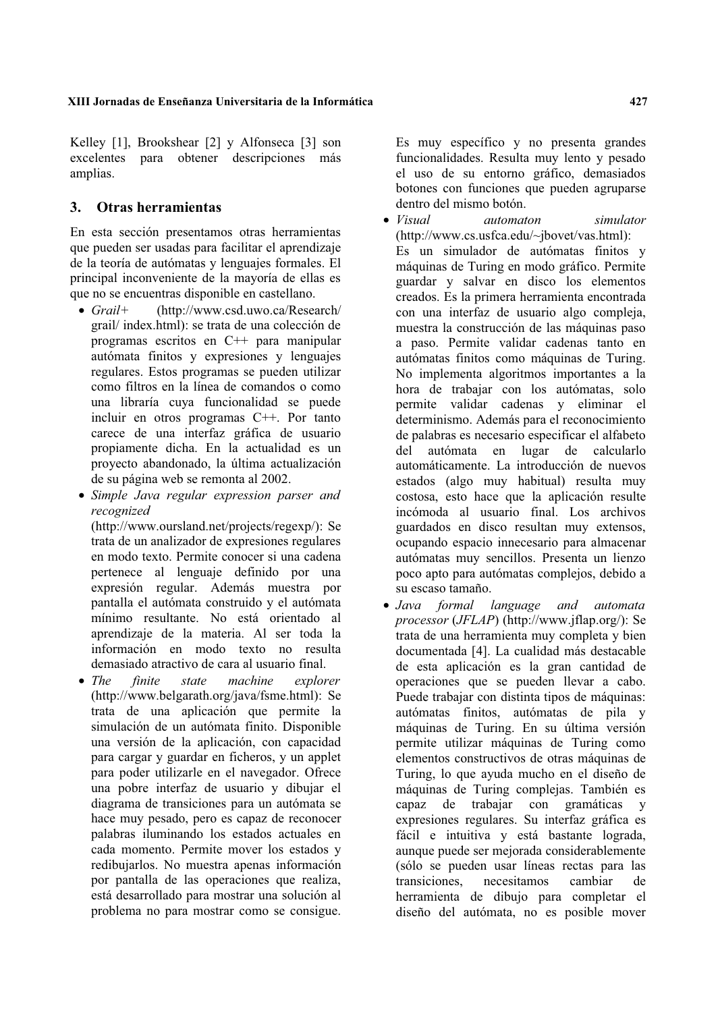### XIII Jornadas de Enseñanza Universitaria de la Informática

Kelley [1], Brookshear [2] y Alfonseca [3] son excelentes para obtener descripciones más amplias.

#### $\mathbf{3}$ . Otras herramientas

En esta sección presentamos otras herramientas que pueden ser usadas para facilitar el aprendizaje de la teoría de autómatas y lenguajes formales. El principal inconveniente de la mayoría de ellas es que no se encuentras disponible en castellano.

- $\bullet$  Grail+ (http://www.csd.uwo.ca/Research/ grail/index.html): se trata de una colección de programas escritos en C++ para manipular autómata finitos y expresiones y lenguajes regulares. Estos programas se pueden utilizar como filtros en la línea de comandos o como una libraría cuva funcionalidad se puede incluir en otros programas C++. Por tanto carece de una interfaz gráfica de usuario propiamente dicha. En la actualidad es un proyecto abandonado, la última actualización de su página web se remonta al 2002.
- Simple Java regular expression parser and recognized

(http://www.oursland.net/projects/regexp/): Se trata de un analizador de expresiones regulares en modo texto. Permite conocer si una cadena pertenece al lenguaje definido por una expresión regular. Además muestra por pantalla el autómata construido y el autómata mínimo resultante. No está orientado al aprendizaje de la materia. Al ser toda la información en modo texto no resulta demasiado atractivo de cara al usuario final.

 $\bullet$  The finite machine state explorer (http://www.belgarath.org/java/fsme.html): Se trata de una aplicación que permite la simulación de un autómata finito. Disponible una versión de la aplicación, con capacidad para cargar y guardar en ficheros, y un applet para poder utilizarle en el navegador. Ofrece una pobre interfaz de usuario y dibujar el diagrama de transiciones para un autómata se hace muy pesado, pero es capaz de reconocer palabras iluminando los estados actuales en cada momento. Permite mover los estados y redibujarlos. No muestra apenas información por pantalla de las operaciones que realiza, está desarrollado para mostrar una solución al problema no para mostrar como se consigue.

Es muy específico y no presenta grandes funcionalidades. Resulta muy lento y pesado el uso de su entorno gráfico, demasiados botones con funciones que pueden agruparse dentro del mismo botón.

- $\bullet$  Visual automaton simulator (http://www.cs.usfca.edu/~jbovet/vas.html): Es un simulador de autómatas finitos y máquinas de Turing en modo gráfico. Permite guardar y salvar en disco los elementos creados. Es la primera herramienta encontrada con una interfaz de usuario algo compleia. muestra la construcción de las máquinas paso a paso. Permite validar cadenas tanto en autómatas finitos como máquinas de Turing. No implementa algoritmos importantes a la hora de trabajar con los autómatas, solo permite validar cadenas y eliminar el determinismo. Además para el reconocimiento de palabras es necesario especificar el alfabeto del autómata en lugar de calcularlo automáticamente. La introducción de nuevos estados (algo muy habitual) resulta muy costosa, esto hace que la aplicación resulte incómoda al usuario final. Los archivos guardados en disco resultan muy extensos, ocupando espacio innecesario para almacenar autómatas muy sencillos. Presenta un lienzo poco apto para autómatas complejos, debido a su escaso tamaño.
- Java formal language and automata *processor* (*JFLAP*) (http://www.jflap.org/): Se trata de una herramienta muy completa y bien documentada [4]. La cualidad más destacable de esta aplicación es la gran cantidad de operaciones que se pueden llevar a cabo. Puede trabajar con distinta tipos de máquinas: autómatas finitos, autómatas de pila y máquinas de Turing. En su última versión permite utilizar máquinas de Turing como elementos constructivos de otras máquinas de Turing, lo que ayuda mucho en el diseño de máquinas de Turing complejas. También es capaz de trabajar con gramáticas  $\mathbf{v}$ expresiones regulares. Su interfaz gráfica es fácil e intuitiva y está bastante lograda, aunque puede ser mejorada considerablemente (sólo se pueden usar líneas rectas para las transiciones. necesitamos cambiar de herramienta de dibujo para completar el diseño del autómata, no es posible mover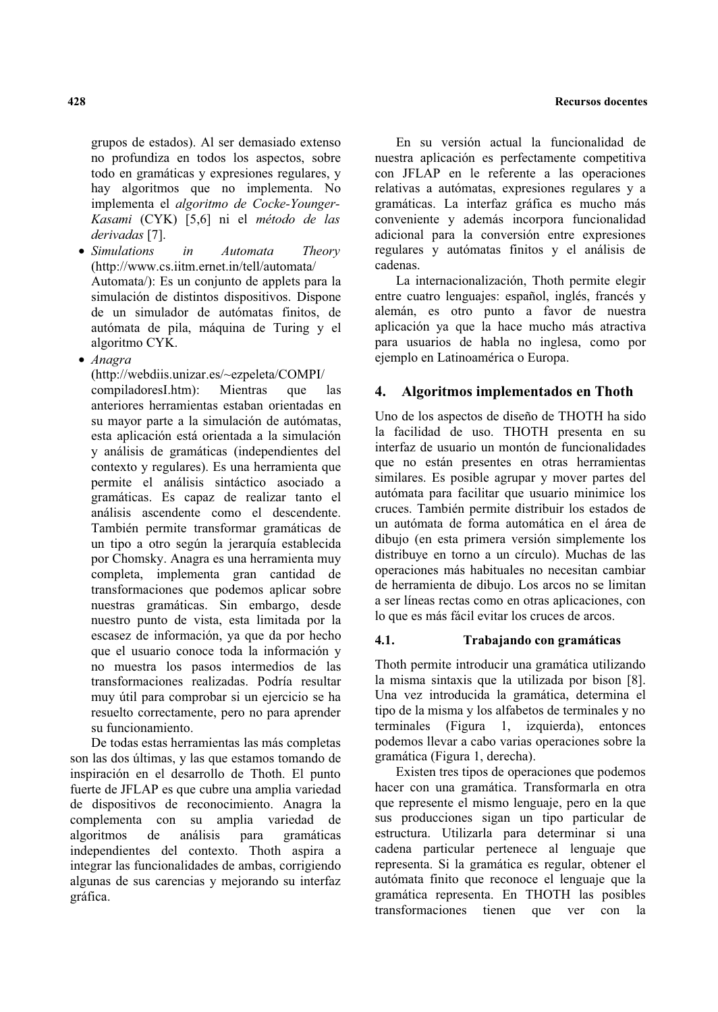grupos de estados). Al ser demasiado extenso no profundiza en todos los aspectos, sobre todo en gramáticas y expresiones regulares, y hay algoritmos que no implementa. No implementa el algoritmo de Cocke-Younger-Kasami (CYK) [5,6] ni el método de las derivadas [7].

- Simulations Automata in Theory (http://www.cs.iitm.ernet.in/tell/automata/ Automata/): Es un conjunto de applets para la simulación de distintos dispositivos. Dispone de un simulador de autómatas finitos, de autómata de pila, máquina de Turing y el algoritmo CYK.
- · Anagra

(http://webdiis.unizar.es/~ezpeleta/COMPI/

compiladoresI.htm): Mientras que las anteriores herramientas estaban orientadas en su mayor parte a la simulación de autómatas. esta aplicación está orientada a la simulación y análisis de gramáticas (independientes del contexto y regulares). Es una herramienta que permite el análisis sintáctico asociado a gramáticas. Es capaz de realizar tanto el análisis ascendente como el descendente. También permite transformar gramáticas de un tipo a otro según la jerarquía establecida por Chomsky. Anagra es una herramienta muy completa, implementa gran cantidad de transformaciones que podemos aplicar sobre nuestras gramáticas. Sin embargo, desde nuestro punto de vista, esta limitada por la escasez de información, ya que da por hecho que el usuario conoce toda la información y no muestra los pasos intermedios de las transformaciones realizadas. Podría resultar muy útil para comprobar si un ejercicio se ha resuelto correctamente, pero no para aprender su funcionamiento.

De todas estas herramientas las más completas son las dos últimas, y las que estamos tomando de inspiración en el desarrollo de Thoth. El punto fuerte de JFLAP es que cubre una amplia variedad de dispositivos de reconocimiento. Anagra la complementa con su amplia variedad de algoritmos de análisis para gramáticas independientes del contexto. Thoth aspira a integrar las funcionalidades de ambas, corrigiendo algunas de sus carencias y mejorando su interfaz gráfica.

En su versión actual la funcionalidad de nuestra aplicación es perfectamente competitiva con JFLAP en le referente a las operaciones relativas a autómatas, expresiones regulares y a gramáticas. La interfaz gráfica es mucho más conveniente y además incorpora funcionalidad adicional para la conversión entre expresiones regulares y autómatas finitos y el análisis de cadenas.

La internacionalización, Thoth permite elegir entre cuatro lenguajes: español, inglés, francés y alemán, es otro punto a favor de nuestra aplicación ya que la hace mucho más atractiva para usuarios de habla no inglesa, como por ejemplo en Latinoamérica o Europa.

#### $\overline{4}$ . Algoritmos implementados en Thoth

Uno de los aspectos de diseño de THOTH ha sido la facilidad de uso. THOTH presenta en su interfaz de usuario un montón de funcionalidades que no están presentes en otras herramientas similares. Es posible agrupar y mover partes del autómata para facilitar que usuario minimice los cruces. También permite distribuir los estados de un autómata de forma automática en el área de dibujo (en esta primera versión simplemente los distribuye en torno a un círculo). Muchas de las operaciones más habituales no necesitan cambiar de herramienta de dibujo. Los arcos no se limitan a ser líneas rectas como en otras aplicaciones, con lo que es más fácil evitar los cruces de arcos.

#### $4.1.$ Trabajando con gramáticas

Thoth permite introducir una gramática utilizando la misma sintaxis que la utilizada por bison [8]. Una vez introducida la gramática, determina el tipo de la misma y los alfabetos de terminales y no terminales (Figura 1, izquierda), entonces podemos llevar a cabo varias operaciones sobre la gramática (Figura 1, derecha).

Existen tres tipos de operaciones que podemos hacer con una gramática. Transformarla en otra que represente el mismo lenguaje, pero en la que sus producciones sigan un tipo particular de estructura. Utilizarla para determinar si una cadena particular pertenece al lenguaje que representa. Si la gramática es regular, obtener el autómata finito que reconoce el lenguaje que la gramática representa. En THOTH las posibles transformaciones tienen que ver con la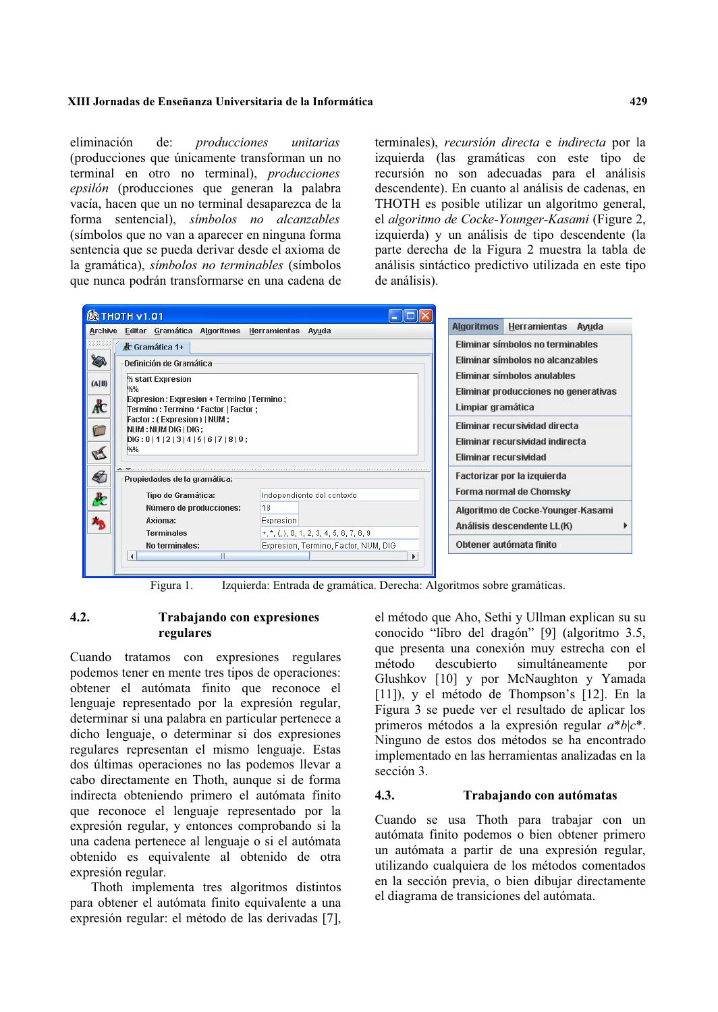### XIII Jornadas de Enseñanza Universitaria de la Informática

eliminación de: producciones unitarias (producciones que únicamente transforman un no terminal en otro no terminal), *producciones* epsilón (producciones que generan la palabra vacía, hacen que un no terminal desaparezca de la forma sentencial), símbolos no alcanzables (símbolos que no van a aparecer en ninguna forma sentencia que se pueda derivar desde el axioma de la gramática), símbolos no terminables (símbolos que nunca podrán transformarse en una cadena de terminales), recursión directa e indirecta por la izquierda (las gramáticas con este tipo de recursión no son adecuadas para el análisis descendente). En cuanto al análisis de cadenas, en THOTH es posible utilizar un algoritmo general, el algoritmo de Cocke-Younger-Kasami (Figure 2, izquierda) y un análisis de tipo descendente (la parte derecha de la Figura 2 muestra la tabla de análisis sintáctico predictivo utilizada en este tipo de análisis).



Izquierda: Entrada de gramática. Derecha: Algoritmos sobre gramáticas. Figura 1.

#### $4.2.$ Trabajando con expresiones regulares

Cuando tratamos con expresiones regulares podemos tener en mente tres tipos de operaciones: obtener el autómata finito que reconoce el lenguaje representado por la expresión regular, determinar si una palabra en particular pertenece a dicho lenguaje, o determinar si dos expresiones regulares representan el mismo lenguaje. Estas dos últimas operaciones no las podemos llevar a cabo directamente en Thoth, aunque si de forma indirecta obteniendo primero el autómata finito que reconoce el lenguaje representado por la expresión regular, y entonces comprobando si la una cadena pertenece al lenguaje o si el autómata obtenido es equivalente al obtenido de otra expresión regular.

Thoth implementa tres algoritmos distintos para obtener el autómata finito equivalente a una expresión regular: el método de las derivadas [7], el método que Aho, Sethi y Ullman explican su su conocido "libro del dragón" [9] (algoritmo 3.5, que presenta una conexión muy estrecha con el método descubierto simultáneamente por Glushkov [10] y por McNaughton y Yamada  $[11]$ ), y el método de Thompson's  $[12]$ . En la Figura 3 se puede ver el resultado de aplicar los primeros métodos a la expresión regular  $a^*b|c^*$ . Ninguno de estos dos métodos se ha encontrado implementado en las herramientas analizadas en la sección 3.

#### $4.3.$ Trabajando con autómatas

Cuando se usa Thoth para trabajar con un autómata finito podemos o bien obtener primero un autómata a partir de una expresión regular, utilizando cualquiera de los métodos comentados en la sección previa, o bien dibuiar directamente el diagrama de transiciones del autómata.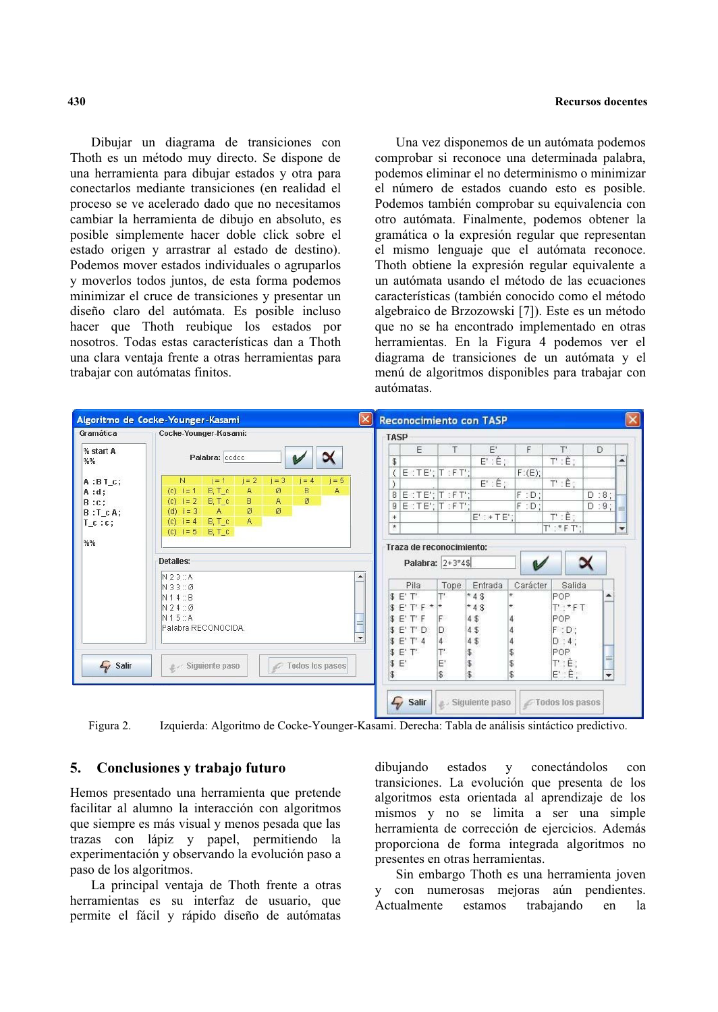### **Recursos docentes**

Dibujar un diagrama de transiciones con Thoth es un método muy directo. Se dispone de una herramienta para dibujar estados y otra para conectarlos mediante transiciones (en realidad el proceso se ve acelerado dado que no necesitamos cambiar la herramienta de dibujo en absoluto, es posible simplemente hacer doble click sobre el estado origen y arrastrar al estado de destino). Podemos mover estados individuales o agruparlos y moverlos todos juntos, de esta forma podemos minimizar el cruce de transiciones y presentar un diseño claro del autómata. Es posible incluso hacer que Thoth reubique los estados por nosotros. Todas estas características dan a Thoth una clara ventaja frente a otras herramientas para trabajar con autómatas finitos.

Una vez disponemos de un autómata podemos comprobar si reconoce una determinada palabra, podemos eliminar el no determinismo o minimizar el número de estados cuando esto es posible. Podemos también comprobar su equivalencia con otro autómata. Finalmente, podemos obtener la gramática o la expresión regular que representan el mismo lenguaje que el autómata reconoce. Thoth obtiene la expresión regular equivalente a un autómata usando el método de las ecuaciones características (también conocido como el método algebraico de Brzozowski [7]). Este es un método que no se ha encontrado implementado en otras herramientas. En la Figura 4 podemos ver el diagrama de transiciones de un autómata y el menú de algoritmos disponibles para trabajar con autómatas.

| Gramática    | Cocke-Younger-Kasami:                                                    |                                                   | TASP                                                                                                                     |                                                        |                                                     |          |                                                          |         |              |
|--------------|--------------------------------------------------------------------------|---------------------------------------------------|--------------------------------------------------------------------------------------------------------------------------|--------------------------------------------------------|-----------------------------------------------------|----------|----------------------------------------------------------|---------|--------------|
| % start A    | Palabra: ccdcc                                                           |                                                   | E                                                                                                                        | T                                                      | E'                                                  | F        | T'                                                       | D       |              |
| %%           |                                                                          |                                                   | \$                                                                                                                       |                                                        | $E':\hat{E}:$                                       |          | $T': \hat{E}:$                                           |         | ۸            |
| $A:BT_C;$    | N<br>$i = 2$<br>$i = 3$<br>$i = 1$<br>$i = 4$<br>$i = 5$                 |                                                   |                                                                                                                          | $E:TE$ ; $T:FT$ ;                                      | $E': \hat{E}:$                                      | F: (E)   | $T': \hat{E}$ ;                                          |         |              |
| $A : d$ ;    | $B, T_c$<br>A<br>(c) $i = 1$<br>ø<br>в<br>A                              |                                                   | $E$ : TE'; $T$ : FT';<br>8                                                                                               |                                                        |                                                     | $F: D$ ; |                                                          | $D:8$ ; |              |
| $B: C$ ;     | $\mathsf{A}$<br>ø<br>$B, T_c$<br>B<br>$i = 2$<br>(c)                     |                                                   | $E$ : TE'; $T$ : FT';<br>$\overline{9}$                                                                                  |                                                        |                                                     | $F: D$ ; |                                                          | $D:9$ ; |              |
| $B : T_c A;$ | ø<br>Ø<br>(d) $i = 3$<br>A                                               |                                                   | $^{+}$                                                                                                                   |                                                        | $E' : + TE'$                                        |          | $T': \hat{E}$ :                                          |         |              |
| $T_c : c$ ;  | A<br>$B, T_c$<br>$i = 4$<br>$\left( c\right)$<br>(c) $i = 5$<br>$B, T_c$ |                                                   | $^\star$                                                                                                                 |                                                        |                                                     |          | $T'$ : *F $T'$ :                                         |         | $\mathbf{v}$ |
| %%           | Detailes:                                                                |                                                   | Traza de reconocimiento:                                                                                                 |                                                        |                                                     |          |                                                          |         |              |
|              | N23:A<br>N33:Ø<br>N14:B<br>N24:Ø<br>N15:A<br>Palabra RECONOCIDA.         | $\blacktriangle$<br>Ħ<br>$\overline{\phantom{a}}$ | Pila<br>$E'$ $T'$<br>\$<br>E'<br>$T$ $F \star \star$<br>s<br>E'<br>T' F<br>E'<br>T' D<br>s.<br>\$<br>E'<br>$T'$ $\Delta$ | Palabra: 2+3*4\$<br>Tope<br>IF<br>D.<br>$\overline{4}$ | Entrada<br>$*4$$<br>$*4$$<br>4\$<br>4<br>4\$<br>4\$ | Carácter | Salida<br>POP<br>$T$ : $*$ FT<br>POP<br>$F: D$ ;<br>D:4: | ▲       |              |

Izquierda: Algoritmo de Cocke-Younger-Kasami. Derecha: Tabla de análisis sintáctico predictivo. Figura 2.

#### 5. Conclusiones y trabajo futuro

Hemos presentado una herramienta que pretende facilitar al alumno la interacción con algoritmos que siempre es más visual y menos pesada que las trazas con lápiz y papel, permitiendo la experimentación y observando la evolución paso a paso de los algoritmos.

La principal ventaja de Thoth frente a otras herramientas es su interfaz de usuario, que permite el fácil y rápido diseño de autómatas

dibuiando estados  $\mathbf{y}$ conectándolos  $con$ transiciones. La evolución que presenta de los algoritmos esta orientada al aprendizaje de los mismos y no se limita a ser una simple herramienta de corrección de ejercicios. Además proporciona de forma integrada algoritmos no presentes en otras herramientas.

Sin embargo Thoth es una herramienta joven y con numerosas mejoras aún pendientes. trabajando Actualmente estamos en  $1a$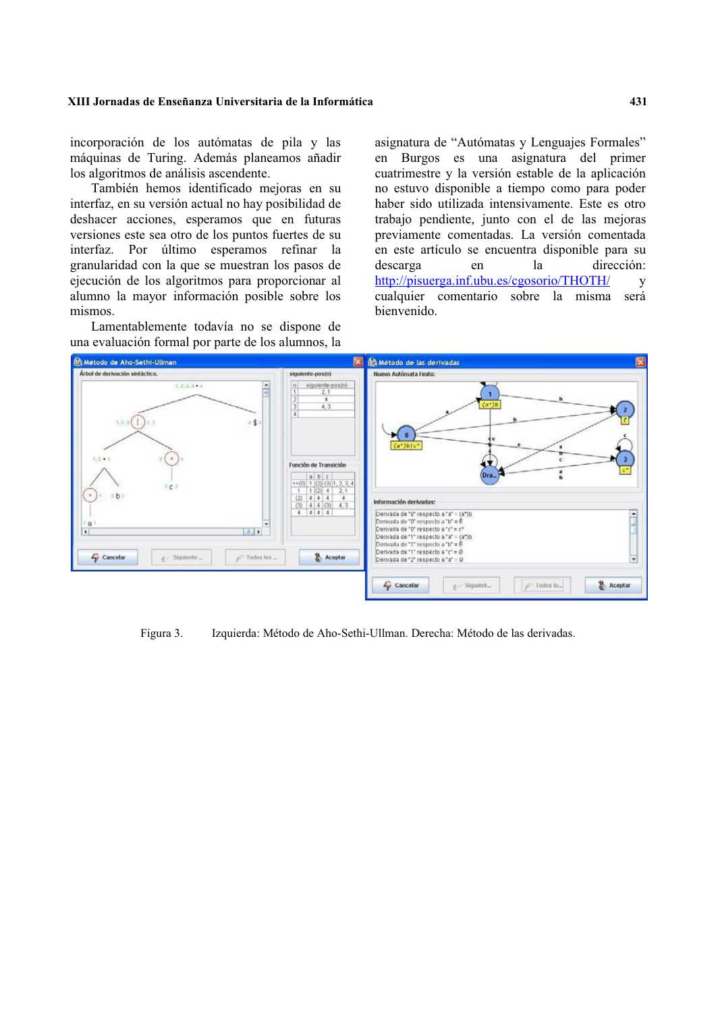### XIII Jornadas de Enseñanza Universitaria de la Informática

incorporación de los autómatas de pila y las máquinas de Turing. Además planeamos añadir los algoritmos de análisis ascendente.

También hemos identificado mejoras en su interfaz, en su versión actual no hay posibilidad de deshacer acciones, esperamos que en futuras versiones este sea otro de los puntos fuertes de su interfaz. Por último esperamos refinar la granularidad con la que se muestran los pasos de ejecución de los algoritmos para proporcionar al alumno la mayor información posible sobre los mismos

Lamentablemente todavía no se dispone de una evaluación formal por parte de los alumnos, la

asignatura de "Autómatas y Lenguajes Formales" en Burgos es una asignatura del primer cuatrimestre y la versión estable de la aplicación no estuvo disponible a tiempo como para poder haber sido utilizada intensivamente. Este es otro trabajo pendiente, junto con el de las mejoras previamente comentadas. La versión comentada en este artículo se encuentra disponible para su dirección: descarga en  $\mathbf{a}$ http://pisuerga.inf.ubu.es/cgosorio/THOTH/  $\overline{V}$ cualquier comentario sobre la misma será bienvenido.



Figura 3. Izquierda: Método de Aho-Sethi-Ullman. Derecha: Método de las derivadas.